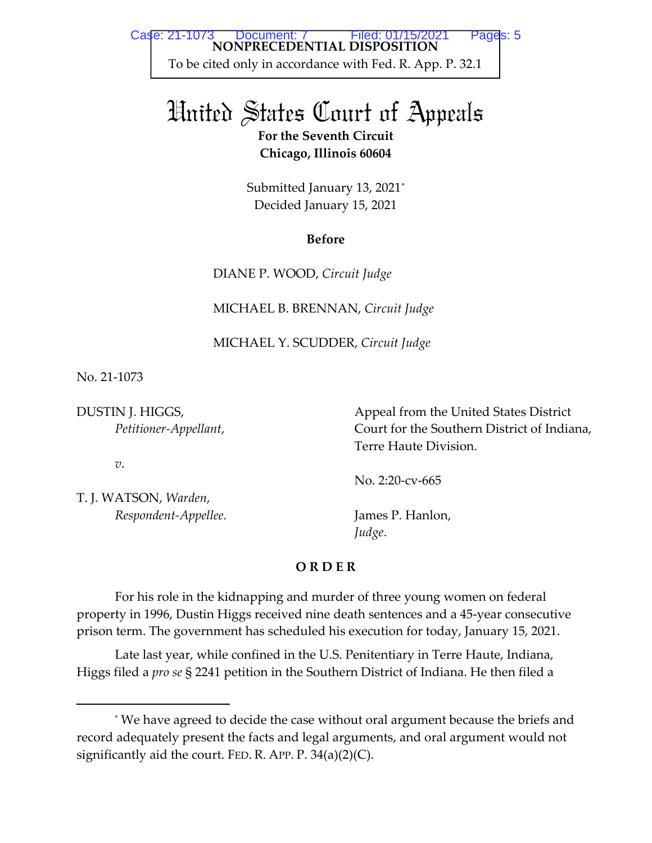# United States Court of Appeals **For the Seventh Circuit Chicago, Illinois 60604**

Submitted January 13, 2021 $^{\ast}$ Decided January 15, 2021

### **Before**

DIANE P. WOOD, *Circuit Judge* 

MICHAEL B. BRENNAN, *Circuit Judge* 

MICHAEL Y. SCUDDER, *Circuit Judge*

No. 21-1073

DUSTIN J. HIGGS, *Petitioner-Appellant*,

*v*.

T. J. WATSON, *Warden*,  *Respondent-Appellee.*  Appeal from the United States District Court for the Southern District of Indiana, Terre Haute Division.

No. 2:20-cv-665

James P. Hanlon, *Judge*.

## **O R D E R**

For his role in the kidnapping and murder of three young women on federal property in 1996, Dustin Higgs received nine death sentences and a 45-year consecutive prison term. The government has scheduled his execution for today, January 15, 2021.

Late last year, while confined in the U.S. Penitentiary in Terre Haute, Indiana, Higgs filed a *pro se* § 2241 petition in the Southern District of Indiana. He then filed a

<sup>\*</sup> We have agreed to decide the case without oral argument because the briefs and record adequately present the facts and legal arguments, and oral argument would not significantly aid the court. FED. R. APP. P.  $34(a)(2)(C)$ .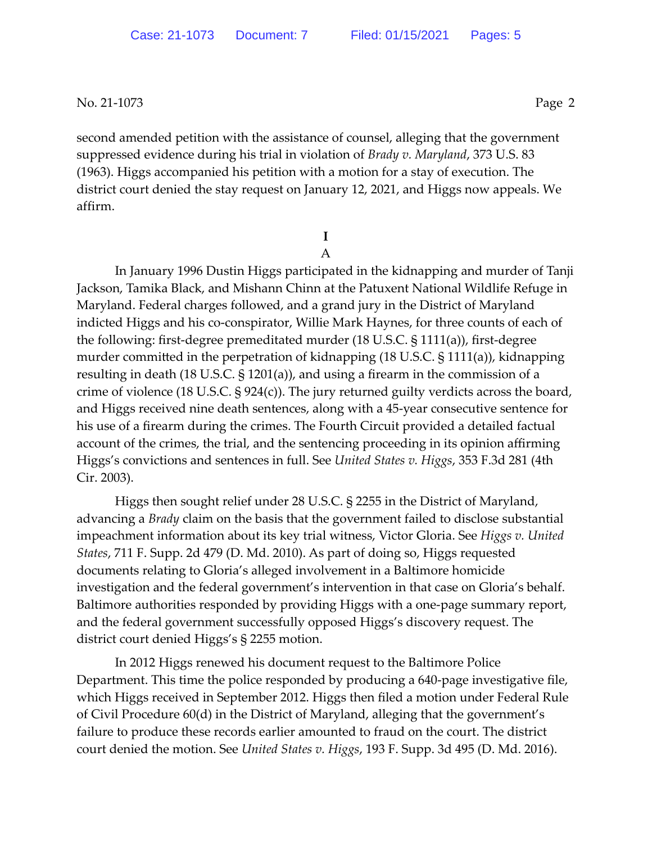second amended petition with the assistance of counsel, alleging that the government suppressed evidence during his trial in violation of *Brady v. Maryland*, 373 U.S. 83 (1963). Higgs accompanied his petition with a motion for a stay of execution. The district court denied the stay request on January 12, 2021, and Higgs now appeals. We affirm.

> **I**  A

 In January 1996 Dustin Higgs participated in the kidnapping and murder of Tanji Jackson, Tamika Black, and Mishann Chinn at the Patuxent National Wildlife Refuge in Maryland. Federal charges followed, and a grand jury in the District of Maryland indicted Higgs and his co-conspirator, Willie Mark Haynes, for three counts of each of the following: first-degree premeditated murder (18 U.S.C. § 1111(a)), first-degree murder committed in the perpetration of kidnapping (18 U.S.C. § 1111(a)), kidnapping resulting in death (18 U.S.C. § 1201(a)), and using a firearm in the commission of a crime of violence (18 U.S.C. § 924(c)). The jury returned guilty verdicts across the board, and Higgs received nine death sentences, along with a 45-year consecutive sentence for his use of a firearm during the crimes. The Fourth Circuit provided a detailed factual account of the crimes, the trial, and the sentencing proceeding in its opinion affirming Higgs's convictions and sentences in full. See *United States v. Higgs*, 353 F.3d 281 (4th Cir. 2003).

 Higgs then sought relief under 28 U.S.C. § 2255 in the District of Maryland, advancing a *Brady* claim on the basis that the government failed to disclose substantial impeachment information about its key trial witness, Victor Gloria. See *Higgs v. United States*, 711 F. Supp. 2d 479 (D. Md. 2010). As part of doing so, Higgs requested documents relating to Gloria's alleged involvement in a Baltimore homicide investigation and the federal government's intervention in that case on Gloria's behalf. Baltimore authorities responded by providing Higgs with a one-page summary report, and the federal government successfully opposed Higgs's discovery request. The district court denied Higgs's § 2255 motion.

In 2012 Higgs renewed his document request to the Baltimore Police Department. This time the police responded by producing a 640-page investigative file, which Higgs received in September 2012. Higgs then filed a motion under Federal Rule of Civil Procedure 60(d) in the District of Maryland, alleging that the government's failure to produce these records earlier amounted to fraud on the court. The district court denied the motion. See *United States v. Higgs*, 193 F. Supp. 3d 495 (D. Md. 2016).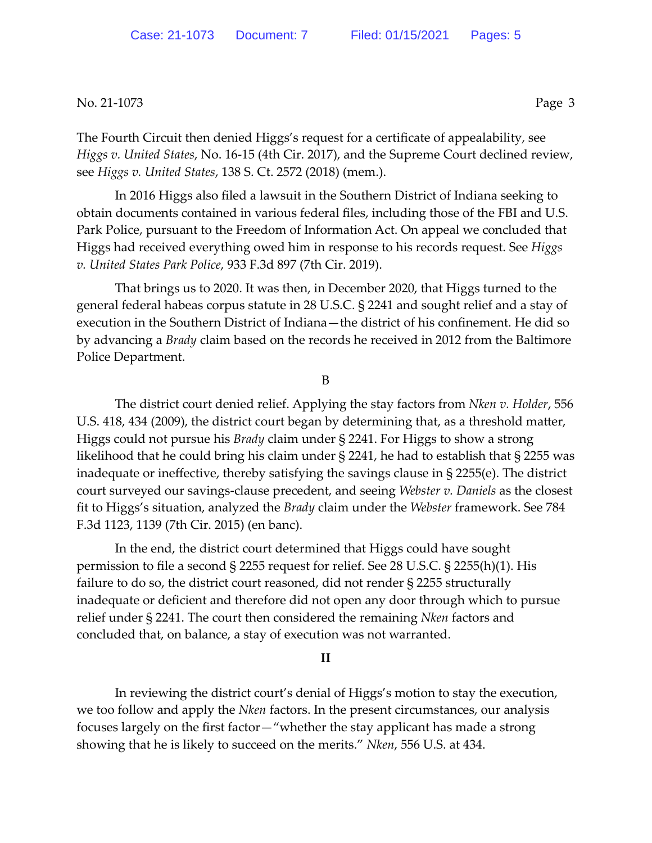The Fourth Circuit then denied Higgs's request for a certificate of appealability, see *Higgs v. United States*, No. 16-15 (4th Cir. 2017), and the Supreme Court declined review, see *Higgs v. United States*, 138 S. Ct. 2572 (2018) (mem.).

In 2016 Higgs also filed a lawsuit in the Southern District of Indiana seeking to obtain documents contained in various federal files, including those of the FBI and U.S. Park Police, pursuant to the Freedom of Information Act. On appeal we concluded that Higgs had received everything owed him in response to his records request. See *Higgs v. United States Park Police*, 933 F.3d 897 (7th Cir. 2019).

That brings us to 2020. It was then, in December 2020, that Higgs turned to the general federal habeas corpus statute in 28 U.S.C. § 2241 and sought relief and a stay of execution in the Southern District of Indiana—the district of his confinement. He did so by advancing a *Brady* claim based on the records he received in 2012 from the Baltimore Police Department.

B

The district court denied relief. Applying the stay factors from *Nken v. Holder*, 556 U.S. 418, 434 (2009), the district court began by determining that, as a threshold matter, Higgs could not pursue his *Brady* claim under § 2241. For Higgs to show a strong likelihood that he could bring his claim under § 2241, he had to establish that § 2255 was inadequate or ineffective, thereby satisfying the savings clause in § 2255(e). The district court surveyed our savings-clause precedent, and seeing *Webster v. Daniels* as the closest fit to Higgs's situation, analyzed the *Brady* claim under the *Webster* framework. See 784 F.3d 1123, 1139 (7th Cir. 2015) (en banc).

In the end, the district court determined that Higgs could have sought permission to file a second § 2255 request for relief. See 28 U.S.C. § 2255(h)(1). His failure to do so, the district court reasoned, did not render § 2255 structurally inadequate or deficient and therefore did not open any door through which to pursue relief under § 2241. The court then considered the remaining *Nken* factors and concluded that, on balance, a stay of execution was not warranted.

#### **II**

In reviewing the district court's denial of Higgs's motion to stay the execution, we too follow and apply the *Nken* factors. In the present circumstances, our analysis focuses largely on the first factor—"whether the stay applicant has made a strong showing that he is likely to succeed on the merits." *Nken*, 556 U.S. at 434.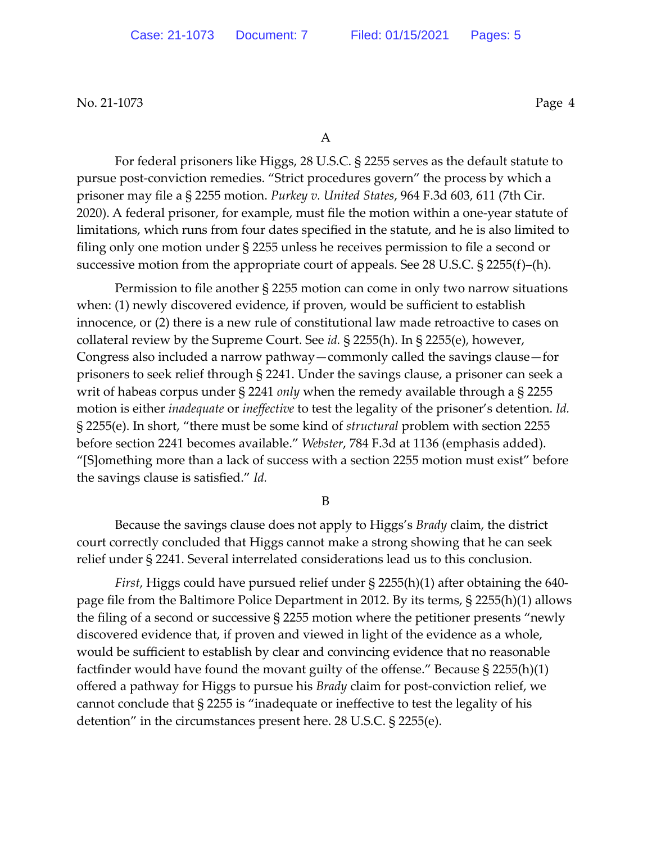For federal prisoners like Higgs, 28 U.S.C. § 2255 serves as the default statute to pursue post-conviction remedies. "Strict procedures govern" the process by which a prisoner may file a § 2255 motion. *Purkey v. United States*, 964 F.3d 603, 611 (7th Cir. 2020). A federal prisoner, for example, must file the motion within a one-year statute of limitations, which runs from four dates specified in the statute, and he is also limited to filing only one motion under § 2255 unless he receives permission to file a second or successive motion from the appropriate court of appeals. See 28 U.S.C. § 2255(f)–(h).

Permission to file another § 2255 motion can come in only two narrow situations when: (1) newly discovered evidence, if proven, would be sufficient to establish innocence, or (2) there is a new rule of constitutional law made retroactive to cases on collateral review by the Supreme Court. See *id.* § 2255(h). In § 2255(e), however, Congress also included a narrow pathway—commonly called the savings clause—for prisoners to seek relief through § 2241. Under the savings clause, a prisoner can seek a writ of habeas corpus under § 2241 *only* when the remedy available through a § 2255 motion is either *inadequate* or *ineffective* to test the legality of the prisoner's detention. *Id.* § 2255(e). In short, "there must be some kind of *structural* problem with section 2255 before section 2241 becomes available." *Webster*, 784 F.3d at 1136 (emphasis added). "[S]omething more than a lack of success with a section 2255 motion must exist" before the savings clause is satisfied." *Id.* 

B

Because the savings clause does not apply to Higgs's *Brady* claim, the district court correctly concluded that Higgs cannot make a strong showing that he can seek relief under § 2241. Several interrelated considerations lead us to this conclusion.

*First*, Higgs could have pursued relief under § 2255(h)(1) after obtaining the 640 page file from the Baltimore Police Department in 2012. By its terms, § 2255(h)(1) allows the filing of a second or successive § 2255 motion where the petitioner presents "newly discovered evidence that, if proven and viewed in light of the evidence as a whole, would be sufficient to establish by clear and convincing evidence that no reasonable factfinder would have found the movant guilty of the offense." Because § 2255(h)(1) offered a pathway for Higgs to pursue his *Brady* claim for post-conviction relief, we cannot conclude that § 2255 is "inadequate or ineffective to test the legality of his detention" in the circumstances present here. 28 U.S.C. § 2255(e).